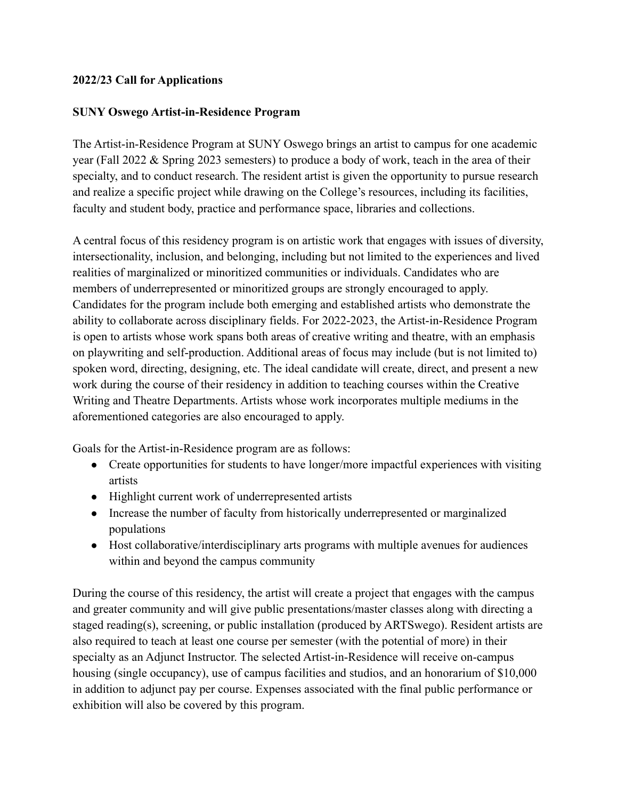## **2022/23 Call for Applications**

## **SUNY Oswego Artist-in-Residence Program**

The Artist-in-Residence Program at SUNY Oswego brings an artist to campus for one academic year (Fall 2022 & Spring 2023 semesters) to produce a body of work, teach in the area of their specialty, and to conduct research. The resident artist is given the opportunity to pursue research and realize a specific project while drawing on the College's resources, including its facilities, faculty and student body, practice and performance space, libraries and collections.

A central focus of this residency program is on artistic work that engages with issues of diversity, intersectionality, inclusion, and belonging, including but not limited to the experiences and lived realities of marginalized or minoritized communities or individuals. Candidates who are members of underrepresented or minoritized groups are strongly encouraged to apply. Candidates for the program include both emerging and established artists who demonstrate the ability to collaborate across disciplinary fields. For 2022-2023, the Artist-in-Residence Program is open to artists whose work spans both areas of creative writing and theatre, with an emphasis on playwriting and self-production. Additional areas of focus may include (but is not limited to) spoken word, directing, designing, etc. The ideal candidate will create, direct, and present a new work during the course of their residency in addition to teaching courses within the Creative Writing and Theatre Departments. Artists whose work incorporates multiple mediums in the aforementioned categories are also encouraged to apply.

Goals for the Artist-in-Residence program are as follows:

- Create opportunities for students to have longer/more impactful experiences with visiting artists
- Highlight current work of underrepresented artists
- Increase the number of faculty from historically underrepresented or marginalized populations
- Host collaborative/interdisciplinary arts programs with multiple avenues for audiences within and beyond the campus community

During the course of this residency, the artist will create a project that engages with the campus and greater community and will give public presentations/master classes along with directing a staged reading(s), screening, or public installation (produced by ARTSwego). Resident artists are also required to teach at least one course per semester (with the potential of more) in their specialty as an Adjunct Instructor. The selected Artist-in-Residence will receive on-campus housing (single occupancy), use of campus facilities and studios, and an honorarium of \$10,000 in addition to adjunct pay per course. Expenses associated with the final public performance or exhibition will also be covered by this program.